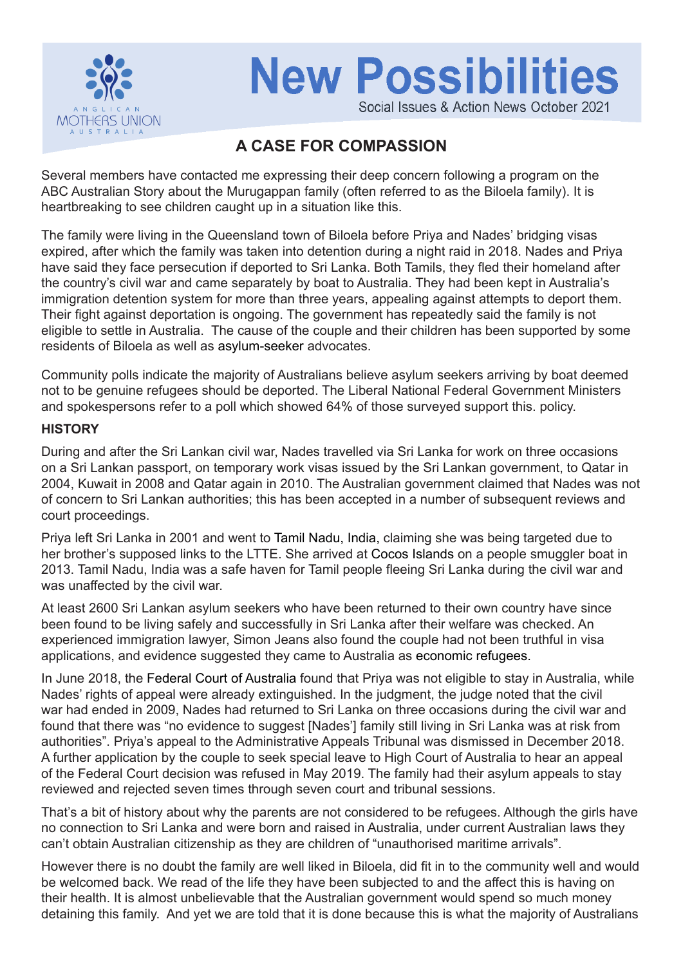

# **New Possibilities** Social Issues & Action News October 2021

## **A CASE FOR COMPASSION**

Several members have contacted me expressing their deep concern following a program on the ABC Australian Story about the Murugappan family (often referred to as the Biloela family). It is heartbreaking to see children caught up in a situation like this.

The family were living in the Queensland town of Biloela before Priya and Nades' bridging visas expired, after which the family was taken into detention during a night raid in 2018. Nades and Priya have said they face persecution if deported to Sri Lanka. Both Tamils, they fled their homeland after the country's civil war and came separately by boat to Australia. They had been kept in Australia's immigration detention system for more than three years, appealing against attempts to deport them. Their fight against deportation is ongoing. The government has repeatedly said the family is not eligible to settle in Australia. The cause of the couple and their children has been supported by some residents of Biloela as well as asylum-seeker advocates.

Community polls indicate the majority of Australians believe asylum seekers arriving by boat deemed not to be genuine refugees should be deported. The Liberal National Federal Government Ministers and spokespersons refer to a poll which showed 64% of those surveyed support this. policy.

#### **HISTORY**

During and after the Sri Lankan civil war, Nades travelled via Sri Lanka for work on three occasions on a Sri Lankan passport, on temporary work visas issued by the Sri Lankan government, to Qatar in 2004, Kuwait in 2008 and Qatar again in 2010. The Australian government claimed that Nades was not of concern to Sri Lankan authorities; this has been accepted in a number of subsequent reviews and court proceedings.

Priya left Sri Lanka in 2001 and went to Tamil Nadu, India, claiming she was being targeted due to her brother's supposed links to the LTTE. She arrived at Cocos Islands on a people smuggler boat in 2013. Tamil Nadu, India was a safe haven for Tamil people fleeing Sri Lanka during the civil war and was unaffected by the civil war.

At least 2600 Sri Lankan asylum seekers who have been returned to their own country have since been found to be living safely and successfully in Sri Lanka after their welfare was checked. An experienced immigration lawyer, Simon Jeans also found the couple had not been truthful in visa applications, and evidence suggested they came to Australia as economic refugees.

In June 2018, the Federal Court of Australia found that Priya was not eligible to stay in Australia, while Nades' rights of appeal were already extinguished. In the judgment, the judge noted that the civil war had ended in 2009, Nades had returned to Sri Lanka on three occasions during the civil war and found that there was "no evidence to suggest [Nades'] family still living in Sri Lanka was at risk from authorities". Priya's appeal to the Administrative Appeals Tribunal was dismissed in December 2018. A further application by the couple to seek special leave to High Court of Australia to hear an appeal of the Federal Court decision was refused in May 2019. The family had their asylum appeals to stay reviewed and rejected seven times through seven court and tribunal sessions.

That's a bit of history about why the parents are not considered to be refugees. Although the girls have no connection to Sri Lanka and were born and raised in Australia, under current Australian laws they can't obtain Australian citizenship as they are children of "unauthorised maritime arrivals".

However there is no doubt the family are well liked in Biloela, did fit in to the community well and would be welcomed back. We read of the life they have been subjected to and the affect this is having on their health. It is almost unbelievable that the Australian government would spend so much money detaining this family. And yet we are told that it is done because this is what the majority of Australians